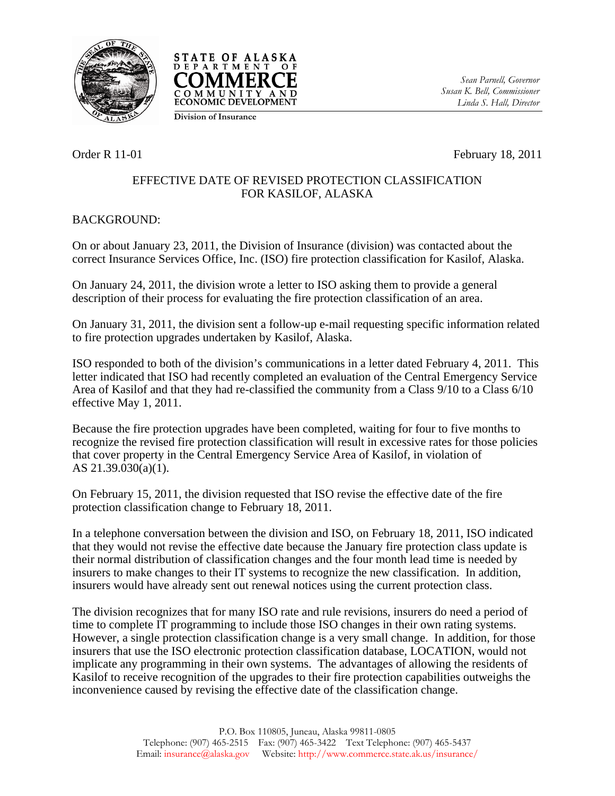



*Sean Parnell, Governor Susan K. Bell, Commissioner Linda S. Hall, Director* 

**Division of Insurance**

Order R 11-01 February 18, 2011

## EFFECTIVE DATE OF REVISED PROTECTION CLASSIFICATION FOR KASILOF, ALASKA

## BACKGROUND:

On or about January 23, 2011, the Division of Insurance (division) was contacted about the correct Insurance Services Office, Inc. (ISO) fire protection classification for Kasilof, Alaska.

On January 24, 2011, the division wrote a letter to ISO asking them to provide a general description of their process for evaluating the fire protection classification of an area.

On January 31, 2011, the division sent a follow-up e-mail requesting specific information related to fire protection upgrades undertaken by Kasilof, Alaska.

ISO responded to both of the division's communications in a letter dated February 4, 2011. This letter indicated that ISO had recently completed an evaluation of the Central Emergency Service Area of Kasilof and that they had re-classified the community from a Class 9/10 to a Class 6/10 effective May 1, 2011.

Because the fire protection upgrades have been completed, waiting for four to five months to recognize the revised fire protection classification will result in excessive rates for those policies that cover property in the Central Emergency Service Area of Kasilof, in violation of AS 21.39.030(a)(1).

On February 15, 2011, the division requested that ISO revise the effective date of the fire protection classification change to February 18, 2011.

In a telephone conversation between the division and ISO, on February 18, 2011, ISO indicated that they would not revise the effective date because the January fire protection class update is their normal distribution of classification changes and the four month lead time is needed by insurers to make changes to their IT systems to recognize the new classification. In addition, insurers would have already sent out renewal notices using the current protection class.

The division recognizes that for many ISO rate and rule revisions, insurers do need a period of time to complete IT programming to include those ISO changes in their own rating systems. However, a single protection classification change is a very small change. In addition, for those insurers that use the ISO electronic protection classification database, LOCATION, would not implicate any programming in their own systems. The advantages of allowing the residents of Kasilof to receive recognition of the upgrades to their fire protection capabilities outweighs the inconvenience caused by revising the effective date of the classification change.